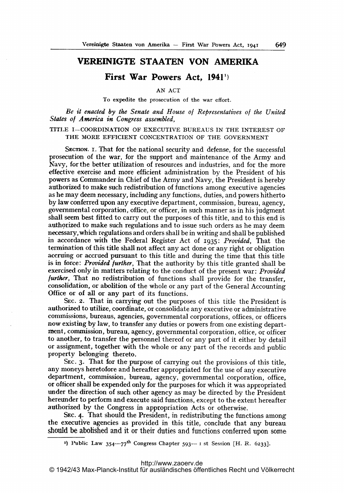# VEREINIGTE STAATEN VON AMERIKA

## First War Powers Act, 1941')

AN ACT

To expedite the prosecution of the war effort.

Be it enacted by the Senate and House of Representatives of the United States of America in Congress assembled,

### TITLE I-COORDINATION OF EXECUTIVE BUREAUS IN THE INTEREST OF THE MORE EFFICIENT CONCENTRATION OF THE GOVERNMENT

SECTION. I. That for the national security and defense, for the successful prosecution of the war, for the support and maintenance of the Army and Navy, forthe better utilization of resources and industries, and for the more effective exercise and more efficient administration by the President of his powers as Commander in Chief of the Army and Navy, the President is hereby authorized to make such redistribution of functions among executive agencies as he may deem necessary, including any functions, duties, and'powers hitherto by law conferred upon any executive department, commission, bureau, agency, governmental corporation, office, or officer, in such manner as in his judgment shall seem best fitted to carry out the purposes of this title, and to this end is authorized to make such regulations and to issue such orders as he may deem necessary, which regulations and orders shall be in writing and shall be published in accordance with the Federal Register Act of 1935: Provided, That the termination of this title shall not affect any act done or any right or obligation accruing or accrued pursuant to this title and during the time that this title is in force: *Provided further*, That the authority by this title granted shall be exercised only in matters relating to the conduct of the present war: Provided further, That no redistribution of functions shall provide for the transfer, consolidation, or abolition of the whole or any part of the General Accounting Office or of all or any part of its functions.

SEc. 2. That in carrying out the purposes of this title the President is authorized to utilize, coordinate, or consolidate any executive or administrative commissions, bureaus, agencies, governmental corporations, offices, or officers now existing by law, to transfer any duties or powers from one existing department, commission, bureau, agency, governmental corporation, office, or officer to another, to transfer the personnel thereof or any part of it either by detail or assignment, together with the whole or any part of the records and public property belonging thereto.

SEC. 3. That for the purpose of carrying out the provisions of this title, any moneys heretofore and hereafter appropriated for the use of any executive department, commission, bureau, agency, governmental corporation, office, or officer shall be expended only for the purposes for which it was appropriated under the direction of such other agency as may be directed by the President hereunder to perform and execute said functions, except to the extent hereafter authorized by the Congress in appropriation Acts or otherwise.

SEC. 4. That should the President, in redistributing the functions among the executive agencies as provided in this title, conclude that any bureau should be abolished and it or their duties and functions conferred upon some

<sup>&</sup>lt;sup>2</sup>) Public Law  $354-77$ <sup>th</sup> Congress Chapter  $593-1$  st Session [H. R. 6233].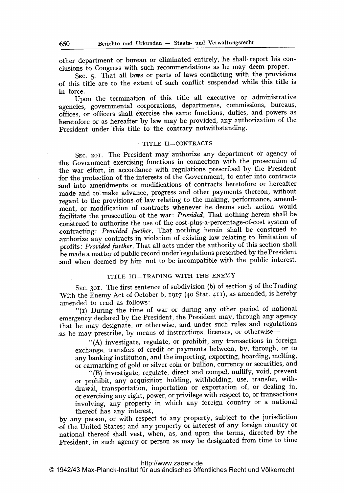other department or bureau or eliminated entirely, 'he shall, report his conclusions to Congress with such recommendations as he may deem proper.

SEC. 5. That all laws or parts of laws conflicting with the provisions of this title are to the extent of such conflict suspended while this title is in force.

Upon the termination of, this title all executive or administrative agencies, governmental corporations, departments, commissions, bureaus, offices, or officers shall exercise the same functions, duties, and powers as heretofore or as hereafter by law may be provided, any authorization of the President under this title to the contrary notwithstanding.

#### TITLE 11-CONTRACTS

SEC. 201. The President may authorize any department or agency of the Government exercising functions in connection with the prosecution of the war effort, in accordance with regulations prescribed by the President for the protection of the interests of the Government, to enter into contracts and into amendments or modifications of contracts heretofore or hereafter made and to make advance, progress and other payments thereon, without regard to the provisions of law relating to the making, performance, amendment, or modification of contracts whenever he. deems such -action would facilitate the prosecution of the war: Provided, That nothing herein shall be construed to authorize the use of the cost-plus-a-percentage-of-cost system of -contracting: Provided further, That nothing herein shall be construed to authorize any contracts in violation of existing law relating to limitation of profits: Provided further, That all acts under the authority of this section shall be made a matter of public record under regulations prescribed by the President and when deemed by him not to be incompatible with the public interest.

#### TITLE 111-TRADING WITH THE ENEMY

SEC. 301. The first sentence of subdivision (b) of section <sup>5</sup> of theTrading With the Enemy Act of October 6, 1917 (40 Stat. 411), as amended, is hereby amended to read as follows:

"(i) During the time of war or during any other period of national emergency declared by the President, the President may, through any agency that he may designate, or otherwise, and under such rules and regulations .as he may prescribe, by means of instructions, licenses, or otherwise

"(A) investigate, regulate, or prohibit, any transactions in foreign exchange, transfers of credit or payments between, by, through, or to any banking institution, and the importing, exporting, hoarding, melting, or earmarking of gold or silver coin or bullion, currency or securities, and

"(B) investigate, regulate, direct and compel, nullify, void, prevent or prohibit, any acquisition holding, withholding, use, transfer, withdrawal, transportation, importation or exportation of, or dealing in, or exercising any right, power, or privilege with respect to, or transactions involving, any property in which any foreign country or a national thereof has any interest,

by any person, or with respect to any property, subject to the jurisdiction -of the United States; and any property or interest of any foreign country or national thereof shall vest, when, as, and upon the terms, directed by the President, in such agency or person as may be designated from time to time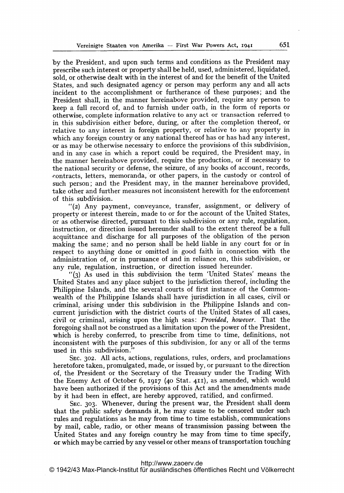by the President, and upon such terms and conditions as the President may prescribe such interest or property shall be held, used, administered, liquidated, sold, or otherwise dealt with in the interest of and for the benefit of the United States, and such designated agency or person may perform any and all acts incident to the accomplishment or furtherance of these purposes; and the President shall, in the manner hereinabove provided, require any person to keep <sup>a</sup> full record of, and to furnish under oath, in the form of reports or -otherwise, complete information. relative to any act or transaction referred to in this subdivision either before, during, or after the completion thereof, or relative to any interest in foreign property, or relative to any property in which any foreign country or any national thereof has or has had any interest, -or as may be otherwise necessary to enforce the provisions of this subdivision, and in any case in which a report could be required, the President may, in the manner hereinabove provided, require the production, or if necessary to the national security or defense, the seizure, of any books of account, records, contracts, letters, memoranda, or other papers, in the custody or control of such person; and the President may, in the manner hereinabove provided, take other and further measures not inconsistent herewith for the enforcement -of this subdivision.

"(2) Any payment, conveyance, transfer, assignment, or delivery of property or interest therein, made to or for the account of the United States, or as otherwise directed, pursuant to this subdivision or any rule, regulation, instruction, or direction issued hereunder shall to the extent thereof be a full acquittance and discharge for all purposes of the obligation of the person making the same; and no person shall be held liable in any court for or in respect to anything done or omitted in good faith in connection with the administration of, or in pursuance of and in reliance on, this subdivision, or any rule, regulation, instruction, or direction issued hereunder.

"(3) As used in this subdivision the term 'United States' means the United States and any place subject to the jurisdiction thereof, including the Philippine Islands, and the several courts of first instance of the Commonwealth of the Philippine Islands shall have jurisdiction in all cases, civil or criminal, arising under this subdivision in the Philippine Islands and con current jurisdiction with the district courts of the United States of all cases, civil or criminal, arising upon the high seas: Provided, however. That the foregoing shall not be construed as a limitation upon the power of the President, which is hereby conferred, to prescribe from time to time, definitions, not inconsistent with the purposes of this subdivision, for any or all of the terms used in this subdivision."

SEC. 302. All acts, actions, regulations, rules, orders, and proclamations heretofore taken, promulgated, made, or issued by, or pursuant to the direction of, the President or the Secretary of the Treasury under the Trading With the Enemy Act of October 6, <sup>1917</sup> (40 Stat- 411), as amended, which would have been authorized if the provisions of this Act and the amendments made by it had been in effect, are hereby approved, ratified, and confirmed.

SEC. 303. Whenever, during the present war, the President shall deem -that the public safety demands it, he may cause to be censored under such rules and regulations as he may from time to time establish, communications by mail, cable, radio, or other means of transmission passing between the United States and any foreign country be may from time to time specify, or which may be carried by any vessel or other means of transportation touching

<http://www.zaoerv.de>